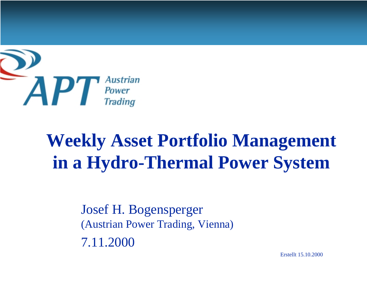

# **Weekly Asset Portfolio Management in a Hydro-Thermal Power System**

Josef H. Bogensperger (Austrian Power Trading, Vienna) 7.11.2000

Erstellt 15.10.2000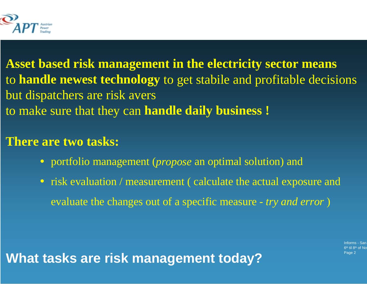

**Asset based risk management in the electricity sector means** to **handle newest technology** to get stabile and profitable decisions but dispatchers are risk avers to make sure that they can **handle daily business !**

### **There are two tasks:**

- portfolio management (*propose* an optimal solution) and
- risk evaluation / measurement (calculate the actual exposure and evaluate the changes out of a specific measure - *try and error* )

**What tasks are risk management today?**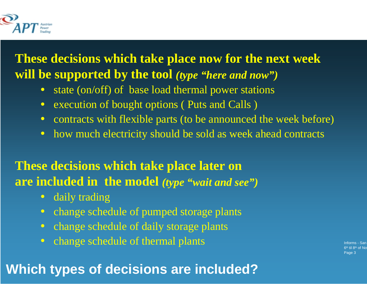

**These decisions which take place now for the next week will be supported by the tool** *(type "here and now")*

- state (on/off) of base load thermal power stations
- •execution of bought options ( Puts and Calls )
- contracts with flexible parts (to be announced the week before)
- $\bullet$ how much electricity should be sold as week ahead contracts

### **These decisions which take place later on are included in the model** *(type "wait and see")*

- $\bullet$ daily trading
- $\bullet$ change schedule of pumped storage plants
- $\bullet$ change schedule of daily storage plants
- $\bullet$ change schedule of thermal plants

# **Which types of decisions are included?**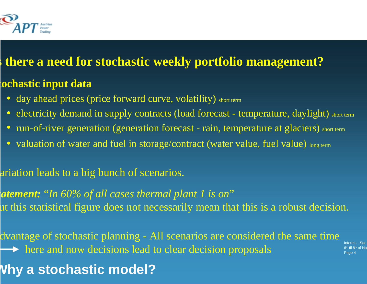

### **s there a need for stochastic weekly portfolio management?**

### **tochastic input data**

- day ahead prices (price forward curve, volatility) short term
- electricity demand in supply contracts (load forecast temperature, daylight) short term
- run-of-river generation (generation forecast rain, temperature at glaciers) short term
- valuation of water and fuel in storage/contract (water value, fuel value) long term

ariation leads to a big bunch of scenarios.

*tatement:* "*In 60% of all cases thermal plant 1 is on*" ut this statistical figure does not necessarily mean that this is a robust decision.

dvantage of stochastic planning - All scenarios are considered the same time  $\rightarrow$  here and now decisions lead to clear decision proposals

**Why a stochastic model?**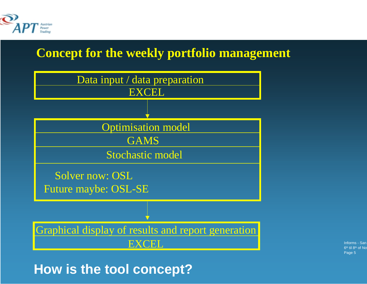

### **Concept for the weekly portfolio management**



Informs - San 6<sup>th</sup> til 8<sup>th</sup> of No Page 5

### **How is the tool concept?**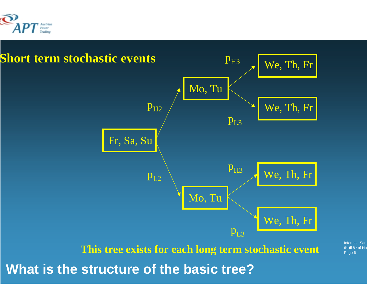

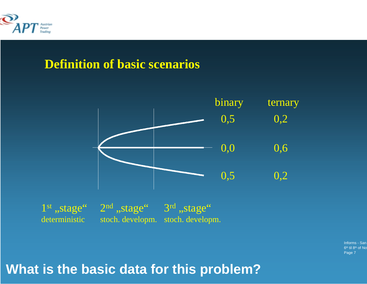

### **Definition of basic scenarios**



 $1^\mathrm{st}$  ,,stage"  $2^\mathrm{nd}$  ,,stage"  $3^\mathrm{rd}$  ,,stage" deterministic stoch. developm. stoch. developm.

> Informs - San 6<sup>th</sup> til 8<sup>th</sup> of No Page 7

### **What is the basic data for this problem?**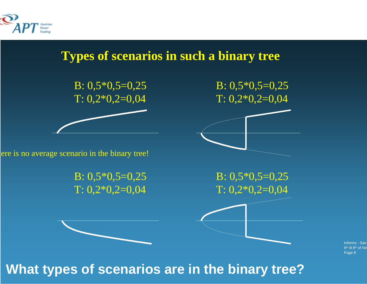



Informs - San 6<sup>th</sup> til 8<sup>th</sup> of No Page 8

**What types of scenarios are in the binary tree?**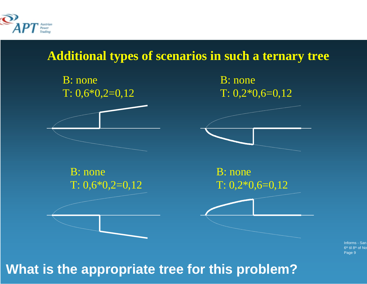

### **Additional types of scenarios in such a ternary tree**



Informs - San 6<sup>th</sup> til 8<sup>th</sup> of No Page 9

# **What is the appropriate tree for this problem?**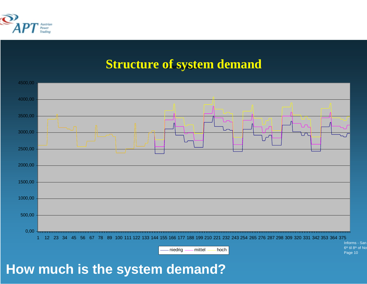

### **Structure of system demand**



**How much is the system demand?**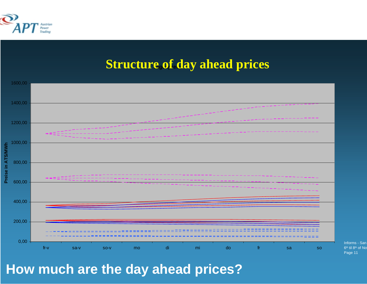

### **Structure of day ahead prices**



**How much are the day ahead prices?**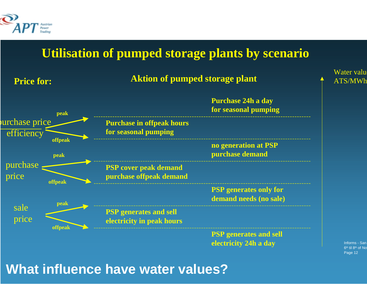

### **Utilisation of pumped storage plants by scenario**



**What influence have water values?**

Informs - San 6<sup>th</sup> til 8<sup>th</sup> of No Page 12

e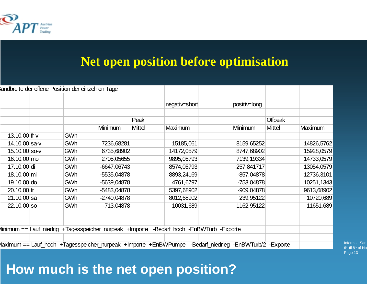

### **Net open position before optimisation**

|                                                                                                       |                                                                                         | andbreite der offene Position der einzelnen Tage |               |               |                |  |              |                |            |  |
|-------------------------------------------------------------------------------------------------------|-----------------------------------------------------------------------------------------|--------------------------------------------------|---------------|---------------|----------------|--|--------------|----------------|------------|--|
|                                                                                                       |                                                                                         |                                                  |               |               |                |  |              |                |            |  |
|                                                                                                       |                                                                                         |                                                  |               |               | negativ=short  |  | positiv=long |                |            |  |
|                                                                                                       |                                                                                         |                                                  |               |               |                |  |              |                |            |  |
|                                                                                                       |                                                                                         |                                                  |               | Peak          |                |  |              | <b>Offpeak</b> |            |  |
|                                                                                                       |                                                                                         |                                                  | Minimum       | <b>Mittel</b> | <b>Maximum</b> |  | Minimum      | <b>Mittel</b>  | Maximum    |  |
| 13.10.00 fr- $v$                                                                                      |                                                                                         | GWh                                              |               |               |                |  |              |                |            |  |
| 14.10.00 sa-v                                                                                         |                                                                                         | GWh                                              | 7236,68281    |               | 15185,061      |  | 8159,65252   |                | 14826,5762 |  |
| 15.10.00 so-v                                                                                         |                                                                                         | GWh                                              | 6735,68902    |               | 14172,0579     |  | 8747,68902   |                | 15928,0579 |  |
| $16.10.00 \, \text{mo}$                                                                               |                                                                                         | <b>GWh</b>                                       | 2705,05655    |               | 9895,05793     |  | 7139, 19334  |                | 14733,0579 |  |
| 17.10.00 di                                                                                           |                                                                                         | GWh                                              | $-6647,06743$ |               | 8574,05793     |  | 257,841717   |                | 13054,0579 |  |
| 18.10.00 mi                                                                                           |                                                                                         | GWh                                              | $-5535,04878$ |               | 8893,24169     |  | $-857,04878$ |                | 12736,3101 |  |
| $19.10.00$ do                                                                                         |                                                                                         | <b>GWh</b>                                       | $-5639,04878$ |               | 4761,6797      |  | $-753,04878$ |                | 10251,1343 |  |
| $20.10.00$ fr                                                                                         |                                                                                         | <b>GWh</b>                                       | $-5483,04878$ |               | 5397,68902     |  | $-909,04878$ |                | 9613,68902 |  |
| $21.10.00$ sa                                                                                         |                                                                                         | GWh                                              | $-2740,04878$ |               | 8012,68902     |  | 239,95122    |                | 10720,689  |  |
| $22.10.00$ so                                                                                         |                                                                                         | GWh                                              | $-713,04878$  |               | 10031,689      |  | 1162,95122   |                | 11651,689  |  |
|                                                                                                       |                                                                                         |                                                  |               |               |                |  |              |                |            |  |
|                                                                                                       |                                                                                         |                                                  |               |               |                |  |              |                |            |  |
|                                                                                                       | linimum == Lauf_niedrig +Tagesspeicher_nurpeak +Importe -Bedarf_hoch -EnBWTurb -Exporte |                                                  |               |               |                |  |              |                |            |  |
|                                                                                                       |                                                                                         |                                                  |               |               |                |  |              |                |            |  |
| 1aximum == Lauf_hoch +Tagesspeicher_nurpeak +Importe +EnBWPumpe -Bedarf_niedrieg -EnBWTurb/2 -Exporte |                                                                                         |                                                  |               |               |                |  |              |                |            |  |

Informs - San 6<sup>th</sup> til 8<sup>th</sup> of No Page 13

# **How much is the net open position?**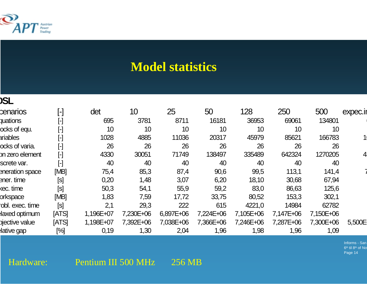

### **Model statistics**

#### **OSL**

| cenarios          | $[\hbox{-}]$           | det       | 10        | 25        | 50        | 128       | 250       | 500       | expec.ir |
|-------------------|------------------------|-----------|-----------|-----------|-----------|-----------|-----------|-----------|----------|
| <b>quations</b>   | $[\cdot]$              | 695       | 3781      | 8711      | 16181     | 36953     | 69061     | 134801    |          |
| ocks of equ.      | $[\cdot]$              | 10        | 10        | 10        | 10        | 10        | 10        | 10        |          |
| ariables          | $\left[ \cdot \right]$ | 1028      | 4885      | 11036     | 20317     | 45979     | 85621     | 166783    |          |
| ocks of varia.    | $[\cdot]$              | 26        | 26        | 26        | 26        | 26        | 26        | 26        |          |
| on zero element   | $\left[\cdot\right]$   | 4330      | 30051     | 71749     | 138497    | 335489    | 642324    | 1270205   |          |
| screte var.       | $[\cdot]$              | 40        | 40        | 40        | 40        | 40        | 40        | 40        |          |
| eneration space   | [MB]                   | 75,4      | 85,3      | 87,4      | 90,6      | 99,5      | 113,1     | 141,4     |          |
| ener. time        | [s]                    | 0,20      | 1,48      | 3,07      | 6,20      | 18,10     | 30,68     | 67,94     |          |
| kec. time         | [s]                    | 50,3      | 54,1      | 55,9      | 59,2      | 83,0      | 86,63     | 125,6     |          |
| orkspace          | [MB]                   | 1,83      | 7,59      | 17,72     | 33,75     | 80,52     | 153,3     | 302,1     |          |
| obl. exec. time   | [s]                    | 2,1       | 29,3      | 222       | 615       | 4221,0    | 14984     | 62782     |          |
| laxed optimum     | [ATS]                  | 1,196E+07 | 7,230E+06 | 6,897E+06 | 7,224E+06 | 7,105E+06 | 7,147E+06 | 7,150E+06 |          |
| bjective value    | [ATS]                  | 1,198E+07 | 7,392E+06 | 7,038E+06 | 7,366E+06 | 7,246E+06 | 7,287E+06 | 7,300E+06 | 5,500E   |
| <b>lative gap</b> | [%]                    | 0,19      | 1,30      | 2,04      | 1,96      | 1,98      | 1,96      | 1,09      |          |

Informs - San 6<sup>th</sup> til 8<sup>th</sup> of No Page 14

Hardware: Pentium III 500 MHz 256 MB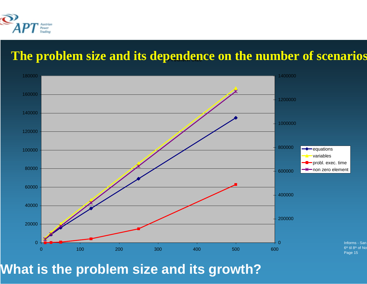

### **Problem size The problem size and its dependence on the number of scenarios**



**What is the problem size and its growth?**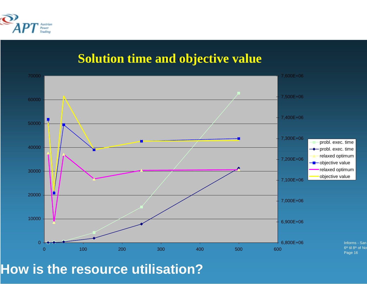![](_page_15_Picture_0.jpeg)

### **Solution time and objective value**

![](_page_15_Figure_2.jpeg)

**How is the resource utilisation?**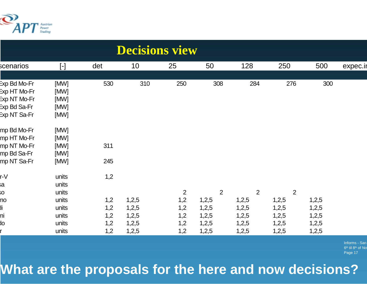![](_page_16_Picture_0.jpeg)

| <b>Decisions view</b> |           |     |       |                |       |       |                |       |          |  |
|-----------------------|-----------|-----|-------|----------------|-------|-------|----------------|-------|----------|--|
| scenarios             | $[\cdot]$ | det | 10    | 25             | 50    | 128   | 250            | 500   | expec.ir |  |
|                       |           |     |       |                |       |       |                |       |          |  |
| Exp Bd Mo-Fr          | [MW]      | 530 | 310   | 250            | 308   | 284   | 276            | 300   |          |  |
| Exp HT Mo-Fr          | [MW]      |     |       |                |       |       |                |       |          |  |
| Exp NT Mo-Fr          | [MW]      |     |       |                |       |       |                |       |          |  |
| Exp Bd Sa-Fr          | [MW]      |     |       |                |       |       |                |       |          |  |
| Exp NT Sa-Fr          | [MW]      |     |       |                |       |       |                |       |          |  |
| mp Bd Mo-Fr           | [MW]      |     |       |                |       |       |                |       |          |  |
| mp HT Mo-Fr           | [MW]      |     |       |                |       |       |                |       |          |  |
| mp NT Mo-Fr           | [MW]      | 311 |       |                |       |       |                |       |          |  |
| mp Bd Sa-Fr           | [MW]      |     |       |                |       |       |                |       |          |  |
| mp NT Sa-Fr           | [MW]      | 245 |       |                |       |       |                |       |          |  |
| r-V                   | units     | 1,2 |       |                |       |       |                |       |          |  |
| ьá                    | units     |     |       |                |       |       |                |       |          |  |
| O.                    | units     |     |       | $\overline{2}$ | 2     | 2     | $\overline{2}$ |       |          |  |
| no                    | units     | 1,2 | 1,2,5 | 1,2            | 1,2,5 | 1,2,5 | 1,2,5          | 1,2,5 |          |  |
| Ji                    | units     | 1,2 | 1,2,5 | 1,2            | 1,2,5 | 1,2,5 | 1,2,5          | 1,2,5 |          |  |
| ni                    | units     | 1,2 | 1,2,5 | 1,2            | 1,2,5 | 1,2,5 | 1,2,5          | 1,2,5 |          |  |
| <b>JO</b>             | units     | 1,2 | 1,2,5 | 1,2            | 1,2,5 | 1,2,5 | 1,2,5          | 1,2,5 |          |  |
|                       | units     | 1,2 | 1,2,5 | 1,2            | 1,2,5 | 1,2,5 | 1,2,5          | 1,2,5 |          |  |

Informs - San 8<sup>th</sup> of No Page 17

**What are the proposals for the here and now decisions?**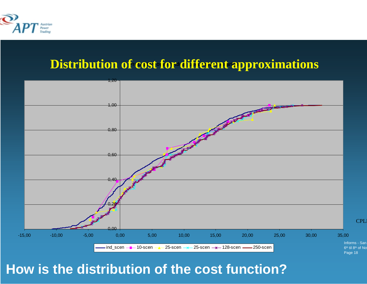![](_page_17_Picture_0.jpeg)

### **Distribution of cost for different approximations**

![](_page_17_Figure_2.jpeg)

### **How is the distribution of the cost function?**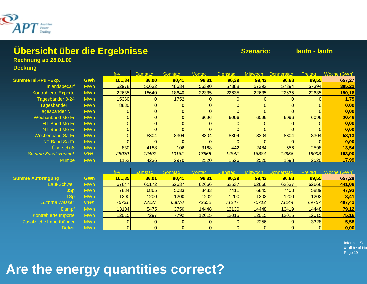![](_page_18_Picture_0.jpeg)

#### **Übersicht über die Ergebnisse Szenario: laufn - laufn**

**Rechnung ab 28.01.00**

#### **Deckung**

|                             |            | fr-v   | Samstag  | Sonntag  | lontag   | Dienstag | Mittwoch. | Donnerstag | Freitag | Woche (GWh). |
|-----------------------------|------------|--------|----------|----------|----------|----------|-----------|------------|---------|--------------|
| Summe InI.+Pu.+Exp.         | <b>GWh</b> | 101,84 | 86,00    | 80,41    | 98,81    | 96,39    | 99,43     | 96,68      | 99,55   | 657,27       |
| <b>Inlandsbedarf</b>        | <b>MWh</b> | 52978  | 50632    | 48634    | 56390    | 57388    | 57392     | 57394      | 57394   | 385,22       |
| <b>Kontrahierte Exporte</b> | <b>MWh</b> | 22635  | 18640    | 18640    | 22335    | 22635    | 22635     | 22635      | 22635   | 150,16       |
| Tagesbänder 0-24            | <b>MWh</b> | 15360  | $\Omega$ | 1752     | $\Omega$ | $\Omega$ | 0         | 0          |         | 1,75         |
| Tagesbänder HT              | <b>MWh</b> | 8880   |          | 0        | 0        | 0        |           |            |         | 0,00         |
| Tagesbänder NT              | <b>MWh</b> |        |          |          | 0        | 0        |           |            |         | 0,00         |
| <b>Wochenband Mo-Fr</b>     | <b>MWh</b> |        |          | $\Omega$ | 6096     | 6096     | 6096      | 6096       | 6096    | 30,48        |
| HT-Band Mo-Fr               | <b>MWh</b> |        |          | $\Omega$ | $\Omega$ | $\Omega$ | $\Omega$  |            |         | 0,00         |
| NT-Band Mo-Fr               | <b>MWh</b> |        |          |          | $\Omega$ | $\Omega$ | 0         | 0          |         | 0,00         |
| <b>Wochenband Sa-Fr</b>     | <b>MWh</b> |        | 8304     | 8304     | 8304     | 8304     | 8304      | 8304       | 8304    | 58,13        |
| NT-Band Sa-Fr               | <b>MWh</b> |        |          | $\Omega$ | $\Omega$ | $\Omega$ |           |            |         | 0,00         |
| <b>Uberschuß</b>            | <b>MWh</b> | 830    | 4188     | 106      | 3168     | 442      | 2484      | 556        | 2598    | 13,54        |
| <b>Summe Zusatzverkauf</b>  | <b>MWh</b> | 25070  | 12492    | 10162    | 17568    | 14842    | 16884     | 14956      | 16998   | 103,90       |
| Pumpe                       | <b>MWh</b> | 1152   | 4236     | 2970     | 2520     | 1526     | 2520      | 1698       | 2520    | 17,99        |
|                             |            |        |          |          |          |          |           |            |         |              |

|                          |            | tr-v        | Samstan |       | lontag | Dienstan |       |       | Freitad      |        |
|--------------------------|------------|-------------|---------|-------|--------|----------|-------|-------|--------------|--------|
| <b>Summe Aufbringung</b> | <b>GWh</b> | 101,85      | 86,01   | 80,41 | 98,81  | 96,39    | 99.43 | 96,68 | 99,55        | 657,28 |
| Lauf-Schwell             | <b>MWh</b> | 67647       | 65172   | 62637 | 62666  | 62637    | 62666 | 62637 | 62666        | 441,08 |
| JSp                      | <b>MWh</b> | 7884        | 6865    | 5033  | 8483   | 7411     | 6845  | 7408  | 5889         | 47,93  |
| $\mathsf{TSp}$           | <b>MWh</b> | <b>1200</b> | 1200    | 1200  | 1202   | 1200     | 1202  | 1200  | 1202         | 8,41   |
| Summe Wasser             | <b>MWh</b> | 76731       | 73237   | 68870 | 72350  | 71247    | 70712 | 71244 | 69757        | 497,42 |
| Dampf                    | <b>MWh</b> | 13104       | 5475    | 3750  | 14448  | 13130    | 14448 | 13419 | <b>14448</b> | 79,12  |
| Kontrahierte Importe     | <b>MWh</b> | 12015       | 7297    | 7792  | 12015  | 12015    | 12015 | 12015 | 12015        | 75,16  |
| Zusätzliche Importbänder | <b>MWh</b> |             |         |       |        | 0        | 2256  |       | 3328         | 5,58   |
| <b>Defizit</b>           | <b>MWh</b> |             |         |       |        |          |       |       |              | 0,00   |

Informs - San 6<sup>th</sup> til 8<sup>th</sup> of No Page 19

# **Are the energy quantities correct?**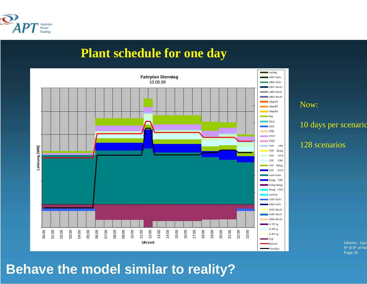![](_page_19_Picture_0.jpeg)

### **Plant schedule for one day**

![](_page_19_Figure_2.jpeg)

#### Now:

10 days per scenario

#### 128 scenarios

Informs - San 6th til 8th of No Page 20

### **Behave the model similar to reality?**